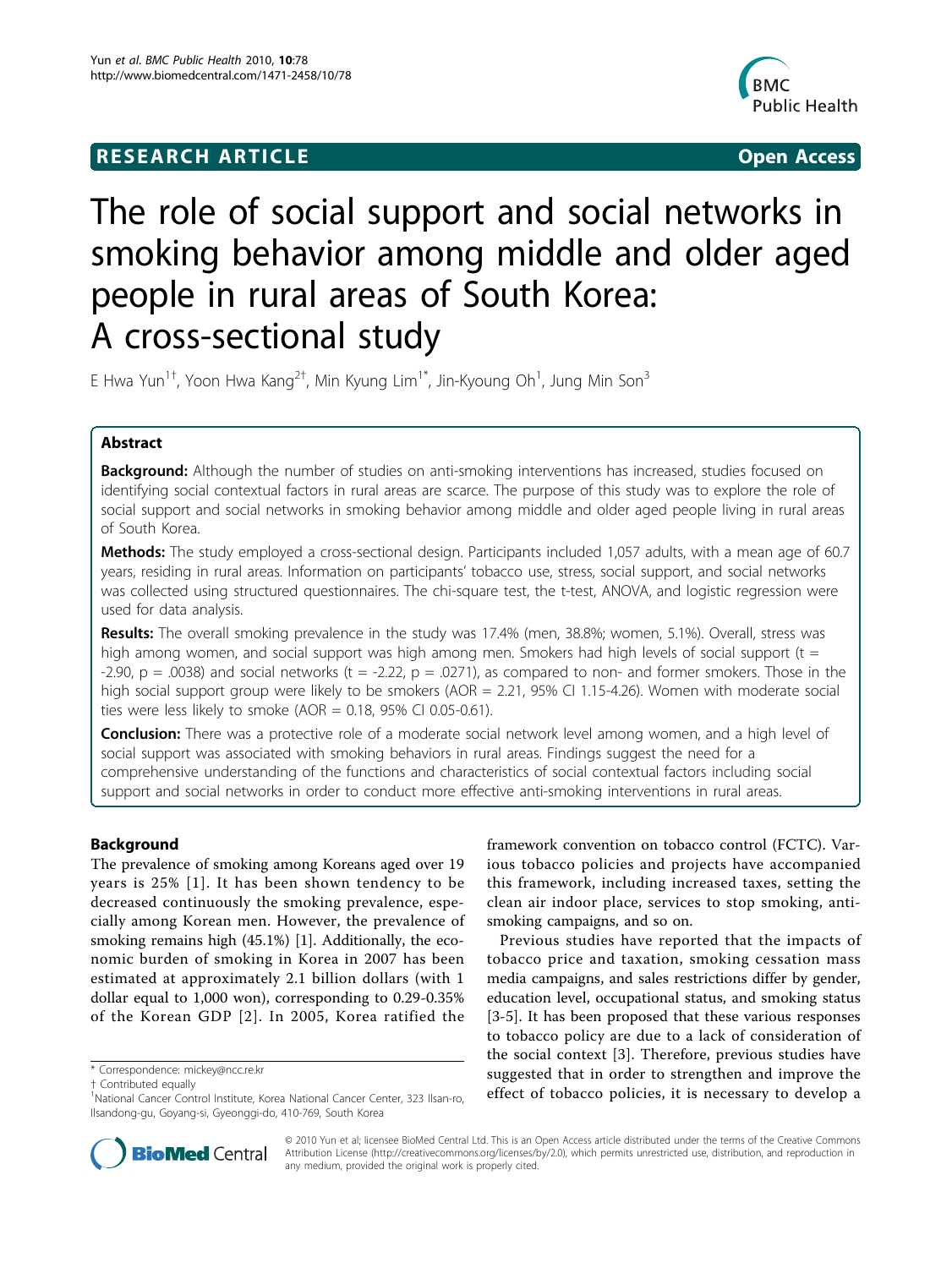## **RESEARCH ARTICLE Example 2018 CONSIDERING ACCESS**



# The role of social support and social networks in smoking behavior among middle and older aged people in rural areas of South Korea: A cross-sectional study

E Hwa Yun $^{1\dagger}$ , Yoon Hwa Kang $^{2\dagger}$ , Min Kyung Lim $^{1^\ast}$ , Jin-Kyoung Oh $^1$ , Jung Min Son $^3$ 

## Abstract

**Background:** Although the number of studies on anti-smoking interventions has increased, studies focused on identifying social contextual factors in rural areas are scarce. The purpose of this study was to explore the role of social support and social networks in smoking behavior among middle and older aged people living in rural areas of South Korea.

Methods: The study employed a cross-sectional design. Participants included 1,057 adults, with a mean age of 60.7 years, residing in rural areas. Information on participants' tobacco use, stress, social support, and social networks was collected using structured questionnaires. The chi-square test, the t-test, ANOVA, and logistic regression were used for data analysis.

Results: The overall smoking prevalence in the study was 17.4% (men, 38.8%; women, 5.1%). Overall, stress was high among women, and social support was high among men. Smokers had high levels of social support ( $t =$ -2.90,  $p = .0038$ ) and social networks (t = -2.22,  $p = .0271$ ), as compared to non- and former smokers. Those in the high social support group were likely to be smokers (AOR = 2.21, 95% CI 1.15-4.26). Women with moderate social ties were less likely to smoke (AOR =  $0.18$ , 95% CI 0.05-0.61).

Conclusion: There was a protective role of a moderate social network level among women, and a high level of social support was associated with smoking behaviors in rural areas. Findings suggest the need for a comprehensive understanding of the functions and characteristics of social contextual factors including social support and social networks in order to conduct more effective anti-smoking interventions in rural areas.

## Background

The prevalence of smoking among Koreans aged over 19 years is 25% [[1\]](#page-6-0). It has been shown tendency to be decreased continuously the smoking prevalence, especially among Korean men. However, the prevalence of smoking remains high (45.1%) [[1\]](#page-6-0). Additionally, the economic burden of smoking in Korea in 2007 has been estimated at approximately 2.1 billion dollars (with 1 dollar equal to 1,000 won), corresponding to 0.29-0.35% of the Korean GDP [[2](#page-6-0)]. In 2005, Korea ratified the

framework convention on tobacco control (FCTC). Various tobacco policies and projects have accompanied this framework, including increased taxes, setting the clean air indoor place, services to stop smoking, antismoking campaigns, and so on.

Previous studies have reported that the impacts of tobacco price and taxation, smoking cessation mass media campaigns, and sales restrictions differ by gender, education level, occupational status, and smoking status [[3-5](#page-6-0)]. It has been proposed that these various responses to tobacco policy are due to a lack of consideration of the social context [[3\]](#page-6-0). Therefore, previous studies have suggested that in order to strengthen and improve the effect of tobacco policies, it is necessary to develop a



© 2010 Yun et al; licensee BioMed Central Ltd. This is an Open Access article distributed under the terms of the Creative Commons Attribution License [\(http://creativecommons.org/licenses/by/2.0](http://creativecommons.org/licenses/by/2.0)), which permits unrestricted use, distribution, and reproduction in any medium, provided the original work is properly cited.

<sup>\*</sup> Correspondence: [mickey@ncc.re.kr](mailto:mickey@ncc.re.kr)

<sup>†</sup> Contributed equally <sup>1</sup>

<sup>&</sup>lt;sup>1</sup>National Cancer Control Institute, Korea National Cancer Center, 323 Ilsan-ro, Ilsandong-gu, Goyang-si, Gyeonggi-do, 410-769, South Korea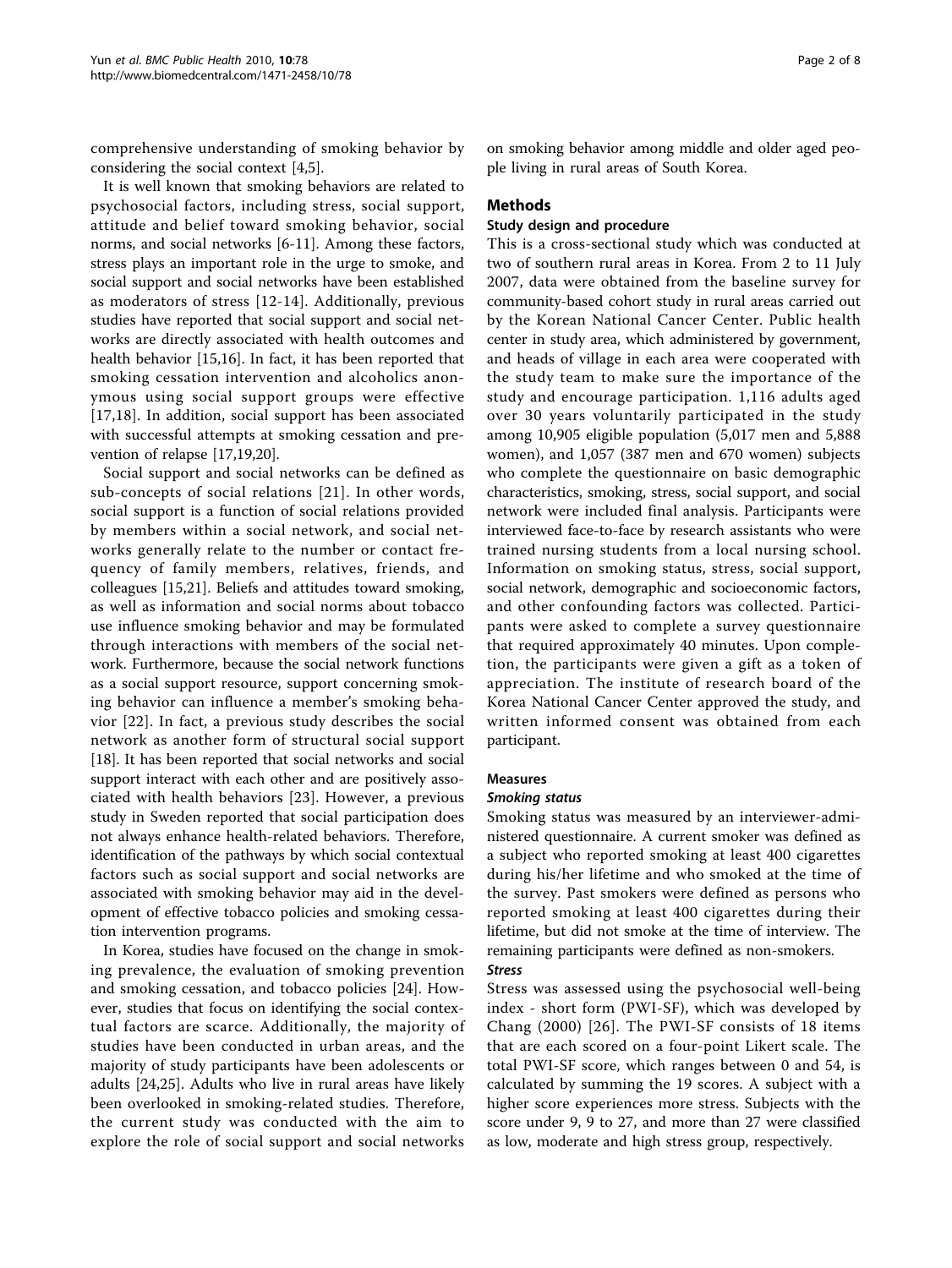comprehensive understanding of smoking behavior by considering the social context [[4](#page-6-0),[5\]](#page-6-0).

It is well known that smoking behaviors are related to psychosocial factors, including stress, social support, attitude and belief toward smoking behavior, social norms, and social networks [\[6](#page-6-0)-[11\]](#page-6-0). Among these factors, stress plays an important role in the urge to smoke, and social support and social networks have been established as moderators of stress [[12](#page-6-0)-[14](#page-6-0)]. Additionally, previous studies have reported that social support and social networks are directly associated with health outcomes and health behavior [\[15,16\]](#page-6-0). In fact, it has been reported that smoking cessation intervention and alcoholics anonymous using social support groups were effective [[17,18](#page-6-0)]. In addition, social support has been associated with successful attempts at smoking cessation and prevention of relapse [\[17,19,20\]](#page-6-0).

Social support and social networks can be defined as sub-concepts of social relations [[21](#page-6-0)]. In other words, social support is a function of social relations provided by members within a social network, and social networks generally relate to the number or contact frequency of family members, relatives, friends, and colleagues [[15,21\]](#page-6-0). Beliefs and attitudes toward smoking, as well as information and social norms about tobacco use influence smoking behavior and may be formulated through interactions with members of the social network. Furthermore, because the social network functions as a social support resource, support concerning smoking behavior can influence a member's smoking behavior [[22](#page-6-0)]. In fact, a previous study describes the social network as another form of structural social support [[18\]](#page-6-0). It has been reported that social networks and social support interact with each other and are positively associated with health behaviors [[23](#page-6-0)]. However, a previous study in Sweden reported that social participation does not always enhance health-related behaviors. Therefore, identification of the pathways by which social contextual factors such as social support and social networks are associated with smoking behavior may aid in the development of effective tobacco policies and smoking cessation intervention programs.

In Korea, studies have focused on the change in smoking prevalence, the evaluation of smoking prevention and smoking cessation, and tobacco policies [[24](#page-6-0)]. However, studies that focus on identifying the social contextual factors are scarce. Additionally, the majority of studies have been conducted in urban areas, and the majority of study participants have been adolescents or adults [[24,25\]](#page-6-0). Adults who live in rural areas have likely been overlooked in smoking-related studies. Therefore, the current study was conducted with the aim to explore the role of social support and social networks

on smoking behavior among middle and older aged people living in rural areas of South Korea.

## Methods

#### Study design and procedure

This is a cross-sectional study which was conducted at two of southern rural areas in Korea. From 2 to 11 July 2007, data were obtained from the baseline survey for community-based cohort study in rural areas carried out by the Korean National Cancer Center. Public health center in study area, which administered by government, and heads of village in each area were cooperated with the study team to make sure the importance of the study and encourage participation. 1,116 adults aged over 30 years voluntarily participated in the study among 10,905 eligible population (5,017 men and 5,888 women), and 1,057 (387 men and 670 women) subjects who complete the questionnaire on basic demographic characteristics, smoking, stress, social support, and social network were included final analysis. Participants were interviewed face-to-face by research assistants who were trained nursing students from a local nursing school. Information on smoking status, stress, social support, social network, demographic and socioeconomic factors, and other confounding factors was collected. Participants were asked to complete a survey questionnaire that required approximately 40 minutes. Upon completion, the participants were given a gift as a token of appreciation. The institute of research board of the Korea National Cancer Center approved the study, and written informed consent was obtained from each participant.

## Measures

#### Smoking status

Smoking status was measured by an interviewer-administered questionnaire. A current smoker was defined as a subject who reported smoking at least 400 cigarettes during his/her lifetime and who smoked at the time of the survey. Past smokers were defined as persons who reported smoking at least 400 cigarettes during their lifetime, but did not smoke at the time of interview. The remaining participants were defined as non-smokers. Stress

Stress was assessed using the psychosocial well-being index - short form (PWI-SF), which was developed by Chang (2000) [[26](#page-6-0)]. The PWI-SF consists of 18 items that are each scored on a four-point Likert scale. The total PWI-SF score, which ranges between 0 and 54, is calculated by summing the 19 scores. A subject with a higher score experiences more stress. Subjects with the score under 9, 9 to 27, and more than 27 were classified as low, moderate and high stress group, respectively.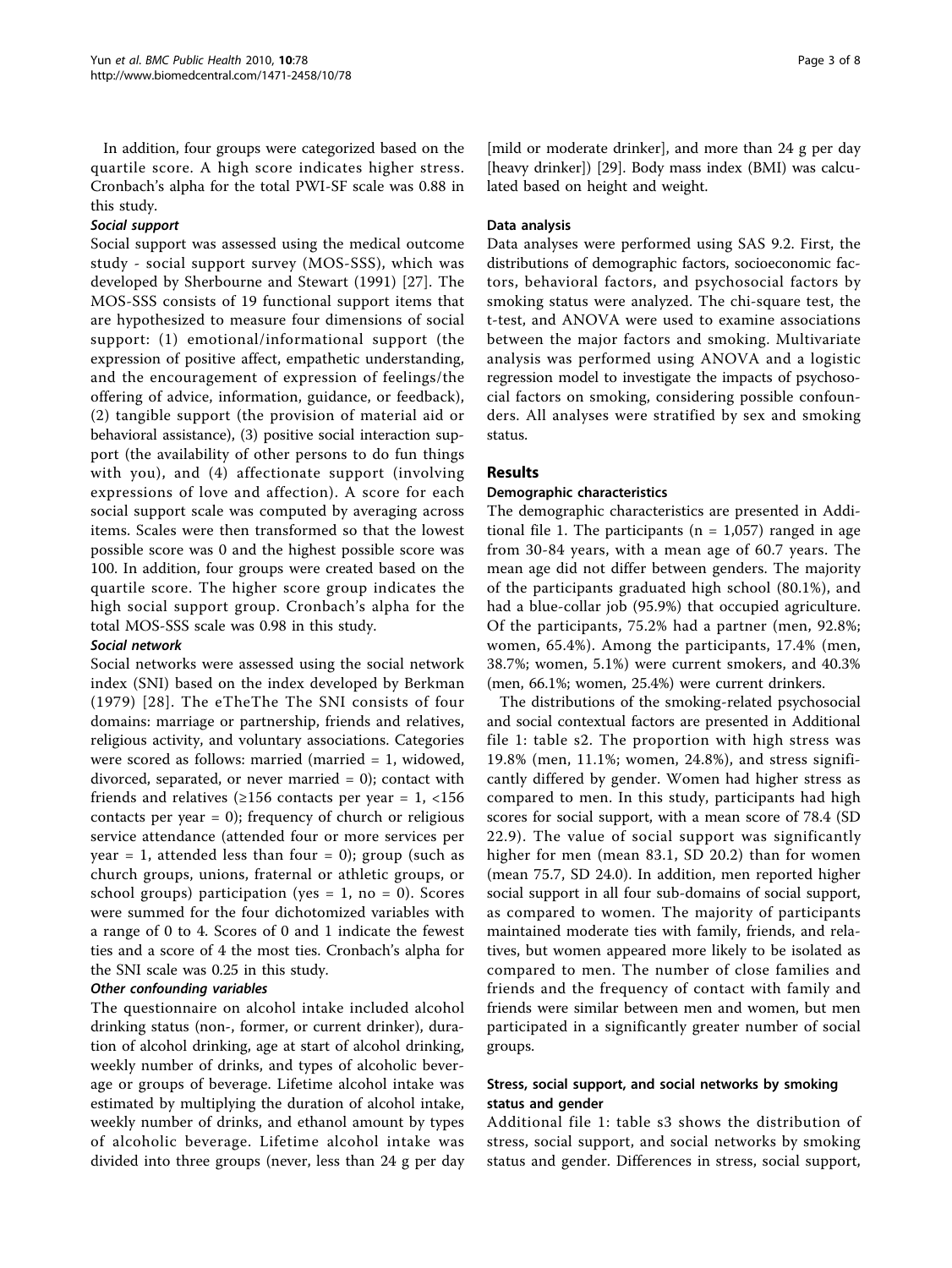In addition, four groups were categorized based on the quartile score. A high score indicates higher stress. Cronbach's alpha for the total PWI-SF scale was 0.88 in this study.

#### Social support

Social support was assessed using the medical outcome study - social support survey (MOS-SSS), which was developed by Sherbourne and Stewart (1991) [[27](#page-6-0)]. The MOS-SSS consists of 19 functional support items that are hypothesized to measure four dimensions of social support: (1) emotional/informational support (the expression of positive affect, empathetic understanding, and the encouragement of expression of feelings/the offering of advice, information, guidance, or feedback), (2) tangible support (the provision of material aid or behavioral assistance), (3) positive social interaction support (the availability of other persons to do fun things with you), and (4) affectionate support (involving expressions of love and affection). A score for each social support scale was computed by averaging across items. Scales were then transformed so that the lowest possible score was 0 and the highest possible score was 100. In addition, four groups were created based on the quartile score. The higher score group indicates the high social support group. Cronbach's alpha for the total MOS-SSS scale was 0.98 in this study.

## Social network

Social networks were assessed using the social network index (SNI) based on the index developed by Berkman (1979) [[28](#page-6-0)]. The eTheThe The SNI consists of four domains: marriage or partnership, friends and relatives, religious activity, and voluntary associations. Categories were scored as follows: married (married = 1, widowed, divorced, separated, or never married  $= 0$ ); contact with friends and relatives ( $\geq$ 156 contacts per year = 1, <156 contacts per year  $= 0$ ); frequency of church or religious service attendance (attended four or more services per year = 1, attended less than four = 0); group (such as church groups, unions, fraternal or athletic groups, or school groups) participation (yes  $= 1$ , no  $= 0$ ). Scores were summed for the four dichotomized variables with a range of 0 to 4. Scores of 0 and 1 indicate the fewest ties and a score of 4 the most ties. Cronbach's alpha for the SNI scale was 0.25 in this study.

#### Other confounding variables

The questionnaire on alcohol intake included alcohol drinking status (non-, former, or current drinker), duration of alcohol drinking, age at start of alcohol drinking, weekly number of drinks, and types of alcoholic beverage or groups of beverage. Lifetime alcohol intake was estimated by multiplying the duration of alcohol intake, weekly number of drinks, and ethanol amount by types of alcoholic beverage. Lifetime alcohol intake was divided into three groups (never, less than 24 g per day

[mild or moderate drinker], and more than 24 g per day [heavy drinker]) [[29\]](#page-6-0). Body mass index (BMI) was calculated based on height and weight.

#### Data analysis

Data analyses were performed using SAS 9.2. First, the distributions of demographic factors, socioeconomic factors, behavioral factors, and psychosocial factors by smoking status were analyzed. The chi-square test, the t-test, and ANOVA were used to examine associations between the major factors and smoking. Multivariate analysis was performed using ANOVA and a logistic regression model to investigate the impacts of psychosocial factors on smoking, considering possible confounders. All analyses were stratified by sex and smoking status.

#### Results

## Demographic characteristics

The demographic characteristics are presented in Addi-tional file [1](#page-5-0). The participants ( $n = 1,057$ ) ranged in age from 30-84 years, with a mean age of 60.7 years. The mean age did not differ between genders. The majority of the participants graduated high school (80.1%), and had a blue-collar job (95.9%) that occupied agriculture. Of the participants, 75.2% had a partner (men, 92.8%; women, 65.4%). Among the participants, 17.4% (men, 38.7%; women, 5.1%) were current smokers, and 40.3% (men, 66.1%; women, 25.4%) were current drinkers.

The distributions of the smoking-related psychosocial and social contextual factors are presented in Additional file [1:](#page-5-0) table s2. The proportion with high stress was 19.8% (men, 11.1%; women, 24.8%), and stress significantly differed by gender. Women had higher stress as compared to men. In this study, participants had high scores for social support, with a mean score of 78.4 (SD 22.9). The value of social support was significantly higher for men (mean 83.1, SD 20.2) than for women (mean 75.7, SD 24.0). In addition, men reported higher social support in all four sub-domains of social support, as compared to women. The majority of participants maintained moderate ties with family, friends, and relatives, but women appeared more likely to be isolated as compared to men. The number of close families and friends and the frequency of contact with family and friends were similar between men and women, but men participated in a significantly greater number of social groups.

## Stress, social support, and social networks by smoking status and gender

Additional file [1](#page-5-0): table s3 shows the distribution of stress, social support, and social networks by smoking status and gender. Differences in stress, social support,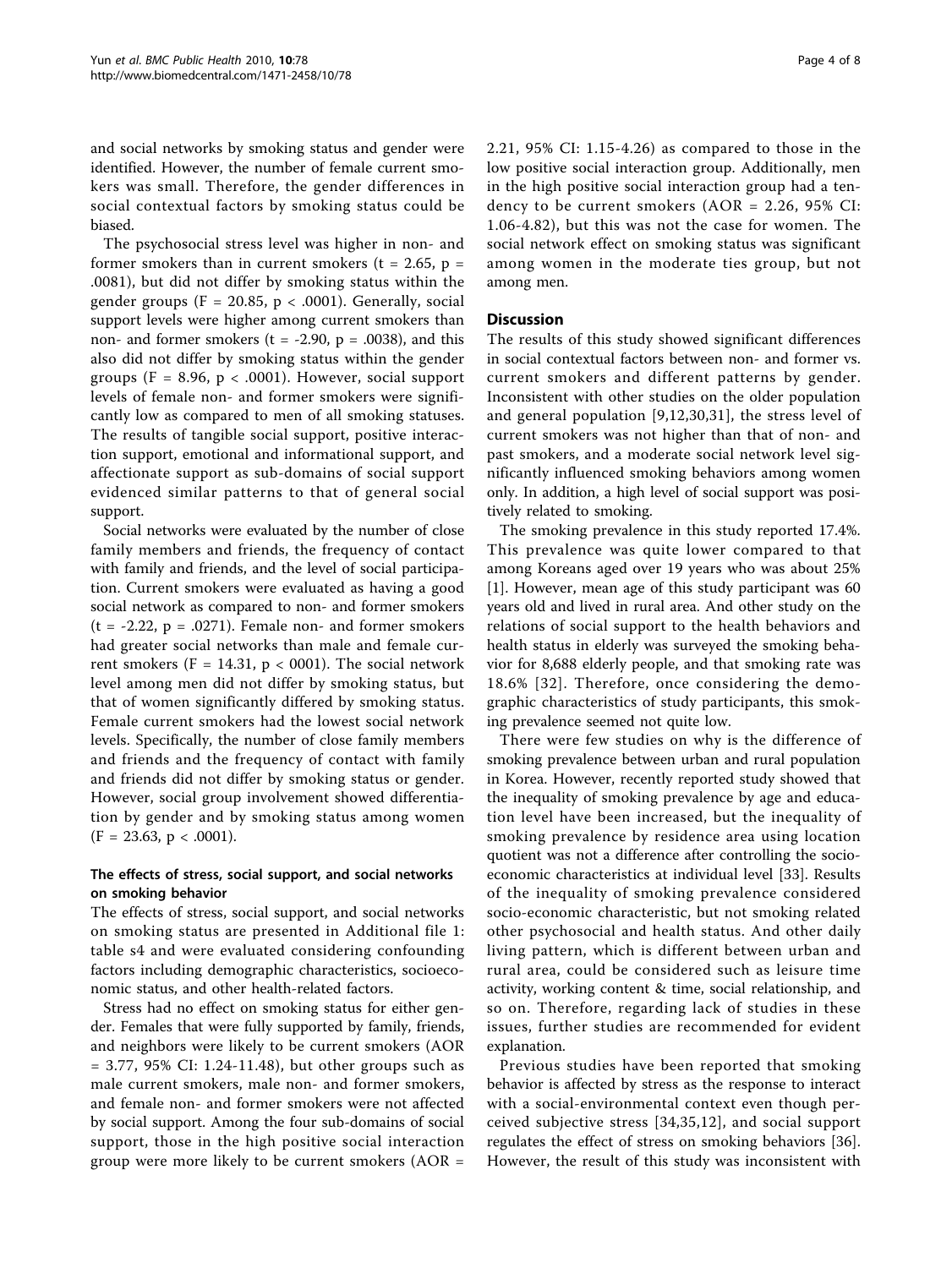and social networks by smoking status and gender were identified. However, the number of female current smokers was small. Therefore, the gender differences in social contextual factors by smoking status could be biased.

The psychosocial stress level was higher in non- and former smokers than in current smokers ( $t = 2.65$ ,  $p =$ .0081), but did not differ by smoking status within the gender groups ( $F = 20.85$ ,  $p < .0001$ ). Generally, social support levels were higher among current smokers than non- and former smokers ( $t = -2.90$ ,  $p = .0038$ ), and this also did not differ by smoking status within the gender groups ( $F = 8.96$ ,  $p < .0001$ ). However, social support levels of female non- and former smokers were significantly low as compared to men of all smoking statuses. The results of tangible social support, positive interaction support, emotional and informational support, and affectionate support as sub-domains of social support evidenced similar patterns to that of general social support.

Social networks were evaluated by the number of close family members and friends, the frequency of contact with family and friends, and the level of social participation. Current smokers were evaluated as having a good social network as compared to non- and former smokers (t =  $-2.22$ , p = .0271). Female non- and former smokers had greater social networks than male and female current smokers (F = 14.31,  $p < 0001$ ). The social network level among men did not differ by smoking status, but that of women significantly differed by smoking status. Female current smokers had the lowest social network levels. Specifically, the number of close family members and friends and the frequency of contact with family and friends did not differ by smoking status or gender. However, social group involvement showed differentiation by gender and by smoking status among women  $(F = 23.63, p < .0001).$ 

## The effects of stress, social support, and social networks on smoking behavior

The effects of stress, social support, and social networks on smoking status are presented in Additional file [1](#page-5-0): table s4 and were evaluated considering confounding factors including demographic characteristics, socioeconomic status, and other health-related factors.

Stress had no effect on smoking status for either gender. Females that were fully supported by family, friends, and neighbors were likely to be current smokers (AOR  $= 3.77, 95\% \text{ CI: } 1.24 - 11.48$ , but other groups such as male current smokers, male non- and former smokers, and female non- and former smokers were not affected by social support. Among the four sub-domains of social support, those in the high positive social interaction group were more likely to be current smokers (AOR =

2.21, 95% CI: 1.15-4.26) as compared to those in the low positive social interaction group. Additionally, men in the high positive social interaction group had a tendency to be current smokers (AOR = 2.26, 95% CI: 1.06-4.82), but this was not the case for women. The social network effect on smoking status was significant among women in the moderate ties group, but not among men.

## **Discussion**

The results of this study showed significant differences in social contextual factors between non- and former vs. current smokers and different patterns by gender. Inconsistent with other studies on the older population and general population [\[9](#page-6-0),[12,30](#page-6-0),[31](#page-6-0)], the stress level of current smokers was not higher than that of non- and past smokers, and a moderate social network level significantly influenced smoking behaviors among women only. In addition, a high level of social support was positively related to smoking.

The smoking prevalence in this study reported 17.4%. This prevalence was quite lower compared to that among Koreans aged over 19 years who was about 25% [[1\]](#page-6-0). However, mean age of this study participant was 60 years old and lived in rural area. And other study on the relations of social support to the health behaviors and health status in elderly was surveyed the smoking behavior for 8,688 elderly people, and that smoking rate was 18.6% [[32](#page-6-0)]. Therefore, once considering the demographic characteristics of study participants, this smoking prevalence seemed not quite low.

There were few studies on why is the difference of smoking prevalence between urban and rural population in Korea. However, recently reported study showed that the inequality of smoking prevalence by age and education level have been increased, but the inequality of smoking prevalence by residence area using location quotient was not a difference after controlling the socioeconomic characteristics at individual level [[33](#page-6-0)]. Results of the inequality of smoking prevalence considered socio-economic characteristic, but not smoking related other psychosocial and health status. And other daily living pattern, which is different between urban and rural area, could be considered such as leisure time activity, working content & time, social relationship, and so on. Therefore, regarding lack of studies in these issues, further studies are recommended for evident explanation.

Previous studies have been reported that smoking behavior is affected by stress as the response to interact with a social-environmental context even though perceived subjective stress [[34](#page-6-0),[35,12\]](#page-6-0), and social support regulates the effect of stress on smoking behaviors [\[36](#page-6-0)]. However, the result of this study was inconsistent with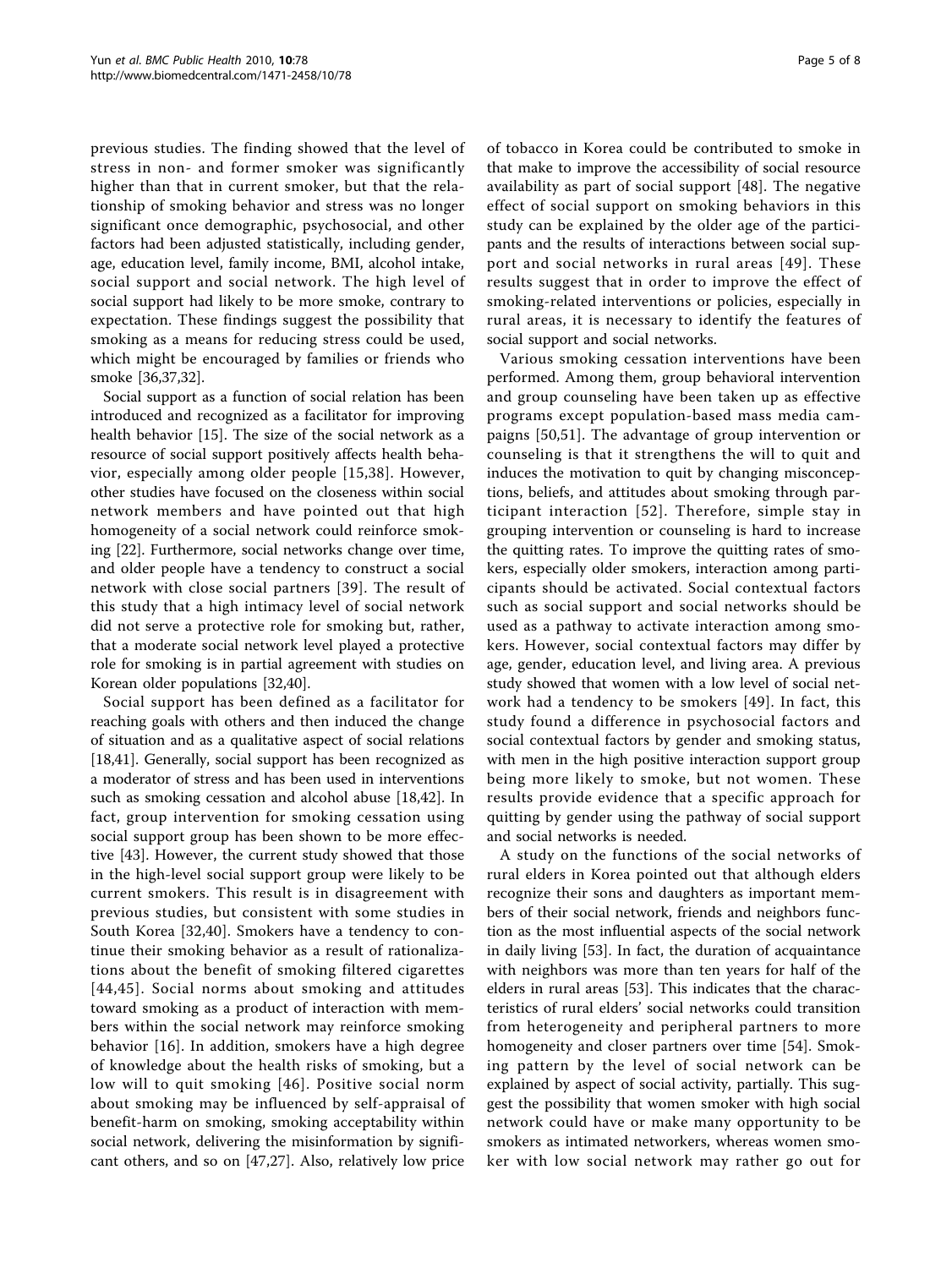previous studies. The finding showed that the level of stress in non- and former smoker was significantly higher than that in current smoker, but that the relationship of smoking behavior and stress was no longer significant once demographic, psychosocial, and other factors had been adjusted statistically, including gender, age, education level, family income, BMI, alcohol intake, social support and social network. The high level of social support had likely to be more smoke, contrary to expectation. These findings suggest the possibility that smoking as a means for reducing stress could be used, which might be encouraged by families or friends who smoke [\[36,37,32\]](#page-6-0).

Social support as a function of social relation has been introduced and recognized as a facilitator for improving health behavior [\[15\]](#page-6-0). The size of the social network as a resource of social support positively affects health behavior, especially among older people [[15](#page-6-0),[38\]](#page-6-0). However, other studies have focused on the closeness within social network members and have pointed out that high homogeneity of a social network could reinforce smoking [[22](#page-6-0)]. Furthermore, social networks change over time, and older people have a tendency to construct a social network with close social partners [[39](#page-6-0)]. The result of this study that a high intimacy level of social network did not serve a protective role for smoking but, rather, that a moderate social network level played a protective role for smoking is in partial agreement with studies on Korean older populations [\[32,40](#page-6-0)].

Social support has been defined as a facilitator for reaching goals with others and then induced the change of situation and as a qualitative aspect of social relations [[18,41\]](#page-6-0). Generally, social support has been recognized as a moderator of stress and has been used in interventions such as smoking cessation and alcohol abuse [\[18,42](#page-6-0)]. In fact, group intervention for smoking cessation using social support group has been shown to be more effective [\[43\]](#page-6-0). However, the current study showed that those in the high-level social support group were likely to be current smokers. This result is in disagreement with previous studies, but consistent with some studies in South Korea [\[32,40\]](#page-6-0). Smokers have a tendency to continue their smoking behavior as a result of rationalizations about the benefit of smoking filtered cigarettes [[44](#page-6-0),[45](#page-6-0)]. Social norms about smoking and attitudes toward smoking as a product of interaction with members within the social network may reinforce smoking behavior [[16\]](#page-6-0). In addition, smokers have a high degree of knowledge about the health risks of smoking, but a low will to quit smoking [[46\]](#page-6-0). Positive social norm about smoking may be influenced by self-appraisal of benefit-harm on smoking, smoking acceptability within social network, delivering the misinformation by significant others, and so on [[47,](#page-7-0)[27\]](#page-6-0). Also, relatively low price

of tobacco in Korea could be contributed to smoke in that make to improve the accessibility of social resource availability as part of social support [\[48\]](#page-7-0). The negative effect of social support on smoking behaviors in this study can be explained by the older age of the participants and the results of interactions between social support and social networks in rural areas [[49](#page-7-0)]. These results suggest that in order to improve the effect of smoking-related interventions or policies, especially in rural areas, it is necessary to identify the features of social support and social networks.

Various smoking cessation interventions have been performed. Among them, group behavioral intervention and group counseling have been taken up as effective programs except population-based mass media campaigns [\[50](#page-7-0),[51\]](#page-7-0). The advantage of group intervention or counseling is that it strengthens the will to quit and induces the motivation to quit by changing misconceptions, beliefs, and attitudes about smoking through participant interaction [[52\]](#page-7-0). Therefore, simple stay in grouping intervention or counseling is hard to increase the quitting rates. To improve the quitting rates of smokers, especially older smokers, interaction among participants should be activated. Social contextual factors such as social support and social networks should be used as a pathway to activate interaction among smokers. However, social contextual factors may differ by age, gender, education level, and living area. A previous study showed that women with a low level of social network had a tendency to be smokers [[49\]](#page-7-0). In fact, this study found a difference in psychosocial factors and social contextual factors by gender and smoking status, with men in the high positive interaction support group being more likely to smoke, but not women. These results provide evidence that a specific approach for quitting by gender using the pathway of social support and social networks is needed.

A study on the functions of the social networks of rural elders in Korea pointed out that although elders recognize their sons and daughters as important members of their social network, friends and neighbors function as the most influential aspects of the social network in daily living [[53\]](#page-7-0). In fact, the duration of acquaintance with neighbors was more than ten years for half of the elders in rural areas [[53](#page-7-0)]. This indicates that the characteristics of rural elders' social networks could transition from heterogeneity and peripheral partners to more homogeneity and closer partners over time [[54\]](#page-7-0). Smoking pattern by the level of social network can be explained by aspect of social activity, partially. This suggest the possibility that women smoker with high social network could have or make many opportunity to be smokers as intimated networkers, whereas women smoker with low social network may rather go out for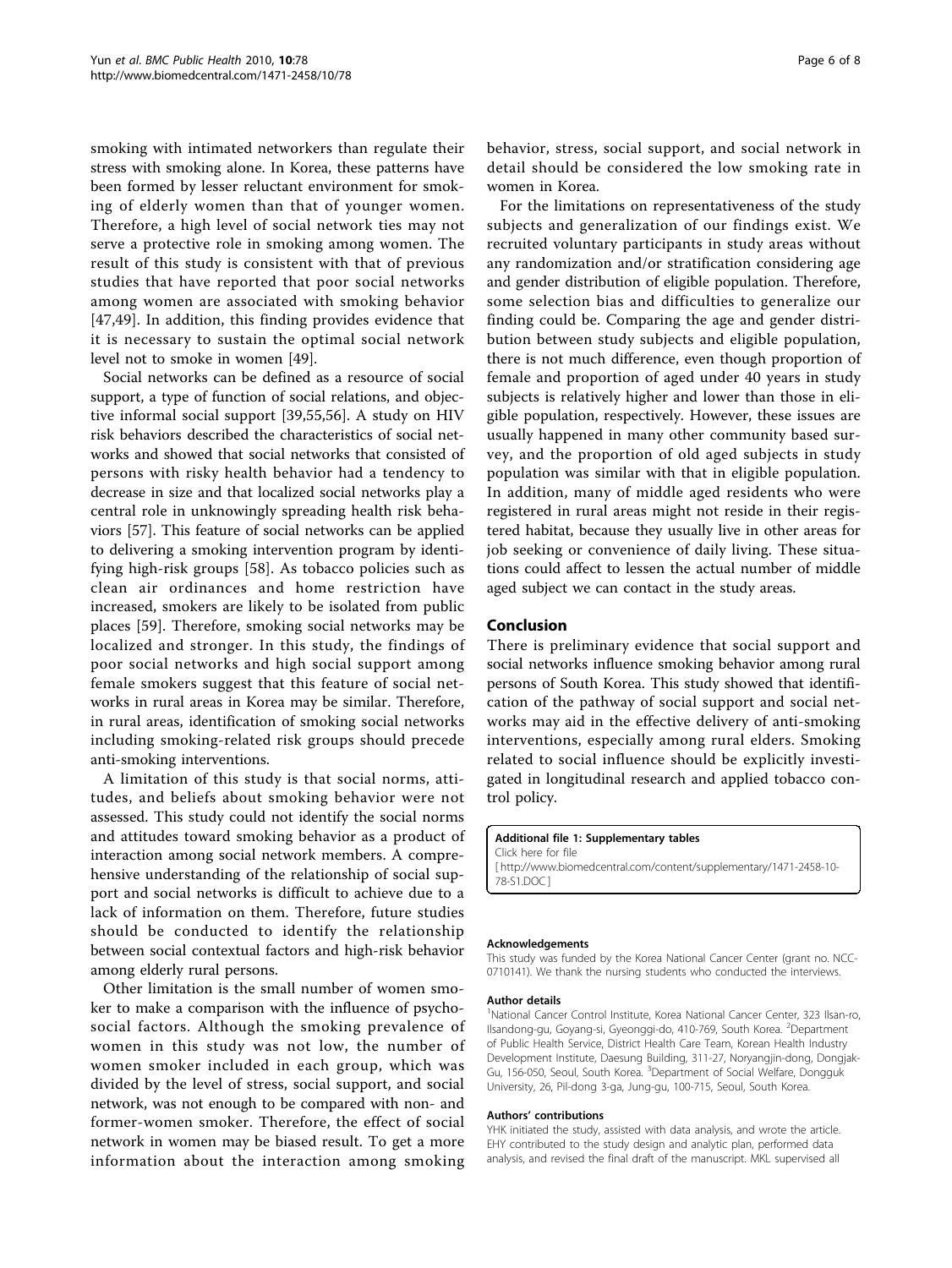<span id="page-5-0"></span>smoking with intimated networkers than regulate their stress with smoking alone. In Korea, these patterns have been formed by lesser reluctant environment for smoking of elderly women than that of younger women. Therefore, a high level of social network ties may not serve a protective role in smoking among women. The result of this study is consistent with that of previous studies that have reported that poor social networks among women are associated with smoking behavior [[47,49](#page-7-0)]. In addition, this finding provides evidence that it is necessary to sustain the optimal social network level not to smoke in women [[49](#page-7-0)].

Social networks can be defined as a resource of social support, a type of function of social relations, and objective informal social support [\[39](#page-6-0),[55,56\]](#page-7-0). A study on HIV risk behaviors described the characteristics of social networks and showed that social networks that consisted of persons with risky health behavior had a tendency to decrease in size and that localized social networks play a central role in unknowingly spreading health risk behaviors [[57](#page-7-0)]. This feature of social networks can be applied to delivering a smoking intervention program by identifying high-risk groups [\[58](#page-7-0)]. As tobacco policies such as clean air ordinances and home restriction have increased, smokers are likely to be isolated from public places [\[59](#page-7-0)]. Therefore, smoking social networks may be localized and stronger. In this study, the findings of poor social networks and high social support among female smokers suggest that this feature of social networks in rural areas in Korea may be similar. Therefore, in rural areas, identification of smoking social networks including smoking-related risk groups should precede anti-smoking interventions.

A limitation of this study is that social norms, attitudes, and beliefs about smoking behavior were not assessed. This study could not identify the social norms and attitudes toward smoking behavior as a product of interaction among social network members. A comprehensive understanding of the relationship of social support and social networks is difficult to achieve due to a lack of information on them. Therefore, future studies should be conducted to identify the relationship between social contextual factors and high-risk behavior among elderly rural persons.

Other limitation is the small number of women smoker to make a comparison with the influence of psychosocial factors. Although the smoking prevalence of women in this study was not low, the number of women smoker included in each group, which was divided by the level of stress, social support, and social network, was not enough to be compared with non- and former-women smoker. Therefore, the effect of social network in women may be biased result. To get a more information about the interaction among smoking

behavior, stress, social support, and social network in detail should be considered the low smoking rate in women in Korea.

For the limitations on representativeness of the study subjects and generalization of our findings exist. We recruited voluntary participants in study areas without any randomization and/or stratification considering age and gender distribution of eligible population. Therefore, some selection bias and difficulties to generalize our finding could be. Comparing the age and gender distribution between study subjects and eligible population, there is not much difference, even though proportion of female and proportion of aged under 40 years in study subjects is relatively higher and lower than those in eligible population, respectively. However, these issues are usually happened in many other community based survey, and the proportion of old aged subjects in study population was similar with that in eligible population. In addition, many of middle aged residents who were registered in rural areas might not reside in their registered habitat, because they usually live in other areas for job seeking or convenience of daily living. These situations could affect to lessen the actual number of middle aged subject we can contact in the study areas.

#### Conclusion

There is preliminary evidence that social support and social networks influence smoking behavior among rural persons of South Korea. This study showed that identification of the pathway of social support and social networks may aid in the effective delivery of anti-smoking interventions, especially among rural elders. Smoking related to social influence should be explicitly investigated in longitudinal research and applied tobacco control policy.

#### Additional file 1: Supplementary tables

Click here for file [ http://www.biomedcentral.com/content/supplementary/1471-2458-10- 78-S1.DOC ]

#### Acknowledgements

This study was funded by the Korea National Cancer Center (grant no. NCC-0710141). We thank the nursing students who conducted the interviews.

#### Author details

<sup>1</sup>National Cancer Control Institute, Korea National Cancer Center, 323 Ilsan-ro Ilsandong-gu, Goyang-si, Gyeonggi-do, 410-769, South Korea. <sup>2</sup>Department of Public Health Service, District Health Care Team, Korean Health Industry Development Institute, Daesung Building, 311-27, Noryangjin-dong, Dongjak-Gu, 156-050, Seoul, South Korea. <sup>3</sup>Department of Social Welfare, Dongguk University, 26, Pil-dong 3-ga, Jung-gu, 100-715, Seoul, South Korea.

#### Authors' contributions

YHK initiated the study, assisted with data analysis, and wrote the article. EHY contributed to the study design and analytic plan, performed data analysis, and revised the final draft of the manuscript. MKL supervised all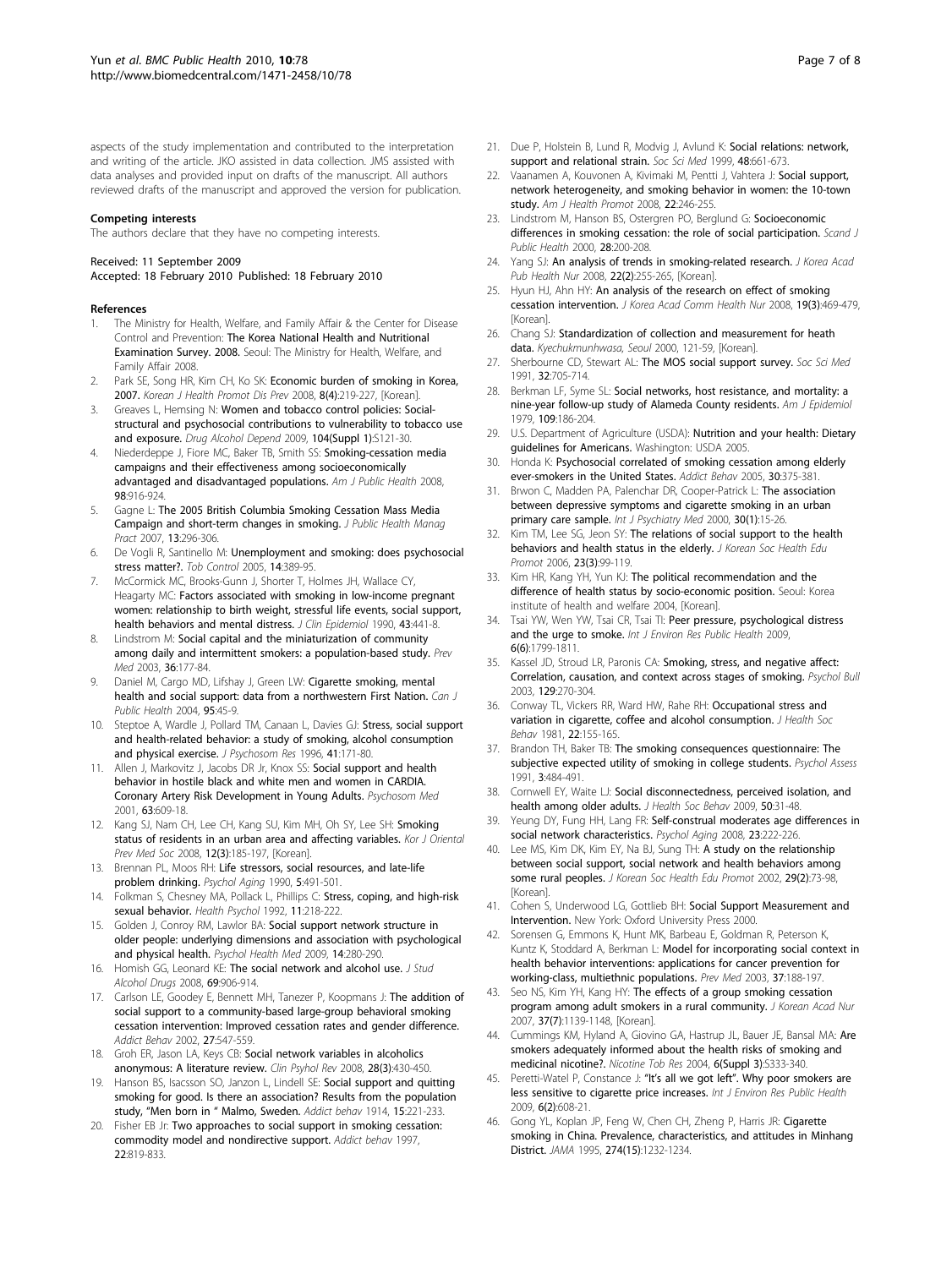<span id="page-6-0"></span>aspects of the study implementation and contributed to the interpretation and writing of the article. JKO assisted in data collection. JMS assisted with data analyses and provided input on drafts of the manuscript. All authors reviewed drafts of the manuscript and approved the version for publication.

#### Competing interests

The authors declare that they have no competing interests.

#### Received: 11 September 2009

Accepted: 18 February 2010 Published: 18 February 2010

#### References

- 1. The Ministry for Health, Welfare, and Family Affair & the Center for Disease Control and Prevention: The Korea National Health and Nutritional Examination Survey. 2008. Seoul: The Ministry for Health, Welfare, and Family Affair 2008.
- 2. Park SE, Song HR, Kim CH, Ko SK: Economic burden of smoking in Korea, 2007. Korean J Health Promot Dis Prev 2008, 8(4):219-227, [Korean].
- 3. Greaves L, Hemsing N: [Women and tobacco control policies: Social](http://www.ncbi.nlm.nih.gov/pubmed/19520523?dopt=Abstract)[structural and psychosocial contributions to vulnerability to tobacco use](http://www.ncbi.nlm.nih.gov/pubmed/19520523?dopt=Abstract) [and exposure.](http://www.ncbi.nlm.nih.gov/pubmed/19520523?dopt=Abstract) Drug Alcohol Depend 2009, 104(Suppl 1):S121-30.
- Niederdeppe J, Fiore MC, Baker TB, Smith SS: [Smoking-cessation media](http://www.ncbi.nlm.nih.gov/pubmed/18381998?dopt=Abstract) [campaigns and their effectiveness among socioeconomically](http://www.ncbi.nlm.nih.gov/pubmed/18381998?dopt=Abstract) [advantaged and disadvantaged populations.](http://www.ncbi.nlm.nih.gov/pubmed/18381998?dopt=Abstract) Am J Public Health 2008, 98:916-924.
- 5. Gagne L: [The 2005 British Columbia Smoking Cessation Mass Media](http://www.ncbi.nlm.nih.gov/pubmed/17435497?dopt=Abstract) [Campaign and short-term changes in smoking.](http://www.ncbi.nlm.nih.gov/pubmed/17435497?dopt=Abstract) J Public Health Manag Pract 2007, 13:296-306.
- De Vogli R, Santinello M: [Unemployment and smoking: does psychosocial](http://www.ncbi.nlm.nih.gov/pubmed/16319362?dopt=Abstract) [stress matter?.](http://www.ncbi.nlm.nih.gov/pubmed/16319362?dopt=Abstract) Tob Control 2005, 14:389-95.
- 7. McCormick MC, Brooks-Gunn J, Shorter T, Holmes JH, Wallace CY, Heagarty MC: [Factors associated with smoking in low-income pregnant](http://www.ncbi.nlm.nih.gov/pubmed/2324784?dopt=Abstract) [women: relationship to birth weight, stressful life events, social support,](http://www.ncbi.nlm.nih.gov/pubmed/2324784?dopt=Abstract) [health behaviors and mental distress.](http://www.ncbi.nlm.nih.gov/pubmed/2324784?dopt=Abstract) J Clin Epidemiol 1990, 43:441-8.
- 8. Lindstrom M: [Social capital and the miniaturization of community](http://www.ncbi.nlm.nih.gov/pubmed/12590993?dopt=Abstract) [among daily and intermittent smokers: a population-based study.](http://www.ncbi.nlm.nih.gov/pubmed/12590993?dopt=Abstract) Prev Med 2003, 36:177-84.
- 9. Daniel M, Cargo MD, Lifshay J, Green LW: [Cigarette smoking, mental](http://www.ncbi.nlm.nih.gov/pubmed/14768741?dopt=Abstract) [health and social support: data from a northwestern First Nation.](http://www.ncbi.nlm.nih.gov/pubmed/14768741?dopt=Abstract) Can J Public Health 2004, 95:45-9.
- 10. Steptoe A, Wardle J, Pollard TM, Canaan L, Davies GJ: [Stress, social support](http://www.ncbi.nlm.nih.gov/pubmed/8887830?dopt=Abstract) [and health-related behavior: a study of smoking, alcohol consumption](http://www.ncbi.nlm.nih.gov/pubmed/8887830?dopt=Abstract) [and physical exercise.](http://www.ncbi.nlm.nih.gov/pubmed/8887830?dopt=Abstract) J Psychosom Res 1996, 41:171-80.
- 11. Allen J, Markovitz J, Jacobs DR Jr, Knox SS: [Social support and health](http://www.ncbi.nlm.nih.gov/pubmed/11485115?dopt=Abstract) [behavior in hostile black and white men and women in CARDIA.](http://www.ncbi.nlm.nih.gov/pubmed/11485115?dopt=Abstract) [Coronary Artery Risk Development in Young Adults.](http://www.ncbi.nlm.nih.gov/pubmed/11485115?dopt=Abstract) Psychosom Med 2001, 63:609-18.
- 12. Kang SJ, Nam CH, Lee CH, Kang SU, Kim MH, Oh SY, Lee SH: Smoking status of residents in an urban area and affecting variables. Kor J Oriental Prev Med Soc 2008, 12(3):185-197, [Korean].
- 13. Brennan PL, Moos RH: [Life stressors, social resources, and late-life](http://www.ncbi.nlm.nih.gov/pubmed/2278671?dopt=Abstract) [problem drinking.](http://www.ncbi.nlm.nih.gov/pubmed/2278671?dopt=Abstract) Psychol Aging 1990, 5:491-501.
- 14. Folkman S, Chesney MA, Pollack L, Phillips C: [Stress, coping, and high-risk](http://www.ncbi.nlm.nih.gov/pubmed/1396489?dopt=Abstract) [sexual behavior.](http://www.ncbi.nlm.nih.gov/pubmed/1396489?dopt=Abstract) Health Psychol 1992, 11:218-222.
- 15. Golden J, Conroy RM, Lawlor BA: [Social support network structure in](http://www.ncbi.nlm.nih.gov/pubmed/19444706?dopt=Abstract) [older people: underlying dimensions and association with psychological](http://www.ncbi.nlm.nih.gov/pubmed/19444706?dopt=Abstract) [and physical health.](http://www.ncbi.nlm.nih.gov/pubmed/19444706?dopt=Abstract) Psychol Health Med 2009, 14:280-290.
- 16. Homish GG, Leonard KE: [The social network and alcohol use.](http://www.ncbi.nlm.nih.gov/pubmed/18925349?dopt=Abstract) J Stud Alcohol Drugs 2008, 69:906-914.
- 17. Carlson LE, Goodey E, Bennett MH, Tanezer P, Koopmans J: [The addition of](http://www.ncbi.nlm.nih.gov/pubmed/12188591?dopt=Abstract) [social support to a community-based large-group behavioral smoking](http://www.ncbi.nlm.nih.gov/pubmed/12188591?dopt=Abstract) [cessation intervention: Improved cessation rates and gender difference.](http://www.ncbi.nlm.nih.gov/pubmed/12188591?dopt=Abstract) Addict Behav 2002, 27:547-559.
- 18. Groh ER, Jason LA, Keys CB: Social network variables in alcoholics anonymous: A literature review. Clin Psyhol Rev 2008, 28(3):430-450.
- 19. Hanson BS, Isacsson SO, Janzon L, Lindell SE: Social support and quitting smoking for good. Is there an association? Results from the population study, "Men born in " Malmo, Sweden. Addict behav 1914, 15:221-233.
- 20. Fisher EB Jr: [Two approaches to social support in smoking cessation:](http://www.ncbi.nlm.nih.gov/pubmed/9426800?dopt=Abstract) [commodity model and nondirective support.](http://www.ncbi.nlm.nih.gov/pubmed/9426800?dopt=Abstract) Addict behav 1997, 22:819-833.
- 21. Due P, Holstein B, Lund R, Modvig J, Avlund K: [Social relations: network,](http://www.ncbi.nlm.nih.gov/pubmed/10080366?dopt=Abstract) [support and relational strain.](http://www.ncbi.nlm.nih.gov/pubmed/10080366?dopt=Abstract) Soc Sci Med 1999, 48:661-673.
- 22. Vaanamen A, Kouvonen A, Kivimaki M, Pentti J, Vahtera J: [Social support,](http://www.ncbi.nlm.nih.gov/pubmed/18421889?dopt=Abstract) [network heterogeneity, and smoking behavior in women: the 10-town](http://www.ncbi.nlm.nih.gov/pubmed/18421889?dopt=Abstract) [study.](http://www.ncbi.nlm.nih.gov/pubmed/18421889?dopt=Abstract) Am J Health Promot 2008, 22:246-255.
- 23. Lindstrom M, Hanson BS, Ostergren PO, Berglund G: [Socioeconomic](http://www.ncbi.nlm.nih.gov/pubmed/11045752?dopt=Abstract) [differences in smoking cessation: the role of social participation.](http://www.ncbi.nlm.nih.gov/pubmed/11045752?dopt=Abstract) Scand J Public Health 2000, 28:200-208.
- 24. Yang SJ: An analysis of trends in smoking-related research. J Korea Acad Pub Health Nur 2008, 22(2):255-265, [Korean].
- 25. Hyun HJ, Ahn HY: An analysis of the research on effect of smoking cessation intervention. J Korea Acad Comm Health Nur 2008, 19(3):469-479, [Korean].
- 26. Chang SJ: Standardization of collection and measurement for heath data. Kyechukmunhwasa, Seoul 2000, 121-59, [Korean].
- 27. Sherbourne CD, Stewart AL: [The MOS social support survey.](http://www.ncbi.nlm.nih.gov/pubmed/2035047?dopt=Abstract) Soc Sci Med 1991, 32:705-714.
- 28. Berkman LF, Syme SL: [Social networks, host resistance, and mortality: a](http://www.ncbi.nlm.nih.gov/pubmed/425958?dopt=Abstract) [nine-year follow-up study of Alameda County residents.](http://www.ncbi.nlm.nih.gov/pubmed/425958?dopt=Abstract) Am J Epidemiol 1979, 109:186-204.
- 29. U.S. Department of Agriculture (USDA): Nutrition and your health: Dietary guidelines for Americans. Washington: USDA 2005.
- 30. Honda K: [Psychosocial correlated of smoking cessation among elderly](http://www.ncbi.nlm.nih.gov/pubmed/15621410?dopt=Abstract) [ever-smokers in the United States.](http://www.ncbi.nlm.nih.gov/pubmed/15621410?dopt=Abstract) Addict Behav 2005, 30:375-381.
- 31. Brwon C, Madden PA, Palenchar DR, Cooper-Patrick L: [The association](http://www.ncbi.nlm.nih.gov/pubmed/10900558?dopt=Abstract) [between depressive symptoms and cigarette smoking in an urban](http://www.ncbi.nlm.nih.gov/pubmed/10900558?dopt=Abstract) [primary care sample.](http://www.ncbi.nlm.nih.gov/pubmed/10900558?dopt=Abstract) Int J Psychiatry Med 2000, 30(1):15-26.
- 32. Kim TM, Lee SG, Jeon SY: The relations of social support to the health behaviors and health status in the elderly. J Korean Soc Health Edu Promot 2006, 23(3):99-119.
- 33. Kim HR, Kang YH, Yun KJ: The political recommendation and the difference of health status by socio-economic position. Seoul: Korea institute of health and welfare 2004, [Korean].
- 34. Tsai YW, Wen YW, Tsai CR, Tsai TI: [Peer pressure, psychological distress](http://www.ncbi.nlm.nih.gov/pubmed/19578461?dopt=Abstract) [and the urge to smoke.](http://www.ncbi.nlm.nih.gov/pubmed/19578461?dopt=Abstract) Int J Environ Res Public Health 2009, 6(6):1799-1811.
- 35. Kassel JD, Stroud LR, Paronis CA: [Smoking, stress, and negative affect:](http://www.ncbi.nlm.nih.gov/pubmed/12696841?dopt=Abstract) [Correlation, causation, and context across stages of smoking.](http://www.ncbi.nlm.nih.gov/pubmed/12696841?dopt=Abstract) Psychol Bull 2003, 129:270-304.
- 36. Conway TL, Vickers RR, Ward HW, Rahe RH: [Occupational stress and](http://www.ncbi.nlm.nih.gov/pubmed/7240714?dopt=Abstract) [variation in cigarette, coffee and alcohol consumption.](http://www.ncbi.nlm.nih.gov/pubmed/7240714?dopt=Abstract) J Health Soc Behav 1981, 22:155-165.
- 37. Brandon TH, Baker TB: The smoking consequences questionnaire: The subjective expected utility of smoking in college students. Psychol Assess 1991, 3:484-491.
- 38. Cornwell EY, Waite LJ: [Social disconnectedness, perceived isolation, and](http://www.ncbi.nlm.nih.gov/pubmed/19413133?dopt=Abstract) [health among older adults.](http://www.ncbi.nlm.nih.gov/pubmed/19413133?dopt=Abstract) J Health Soc Behav 2009, 50:31-48.
- 39. Yeung DY, Fung HH, Lang FR: [Self-construal moderates age differences in](http://www.ncbi.nlm.nih.gov/pubmed/18361670?dopt=Abstract) [social network characteristics.](http://www.ncbi.nlm.nih.gov/pubmed/18361670?dopt=Abstract) Psychol Aging 2008, 23:222-226.
- 40. Lee MS, Kim DK, Kim EY, Na BJ, Sung TH: A study on the relationship between social support, social network and health behaviors among some rural peoples. J Korean Soc Health Edu Promot 2002, 29(2):73-98, [Korean].
- 41. Cohen S, Underwood LG, Gottlieb BH: Social Support Measurement and Intervention. New York: Oxford University Press 2000.
- 42. Sorensen G, Emmons K, Hunt MK, Barbeau E, Goldman R, Peterson K, Kuntz K, Stoddard A, Berkman L: [Model for incorporating social context in](http://www.ncbi.nlm.nih.gov/pubmed/12914824?dopt=Abstract) [health behavior interventions: applications for cancer prevention for](http://www.ncbi.nlm.nih.gov/pubmed/12914824?dopt=Abstract) [working-class, multiethnic populations.](http://www.ncbi.nlm.nih.gov/pubmed/12914824?dopt=Abstract) Prev Med 2003, 37:188-197.
- 43. Seo NS, Kim YH, Kang HY: The effects of a group smoking cessation program among adult smokers in a rural community. J Korean Acad Nur 2007, 37(7):1139-1148, [Korean].
- 44. Cummings KM, Hyland A, Giovino GA, Hastrup JL, Bauer JE, Bansal MA: [Are](http://www.ncbi.nlm.nih.gov/pubmed/15799596?dopt=Abstract) [smokers adequately informed about the health risks of smoking and](http://www.ncbi.nlm.nih.gov/pubmed/15799596?dopt=Abstract) [medicinal nicotine?.](http://www.ncbi.nlm.nih.gov/pubmed/15799596?dopt=Abstract) Nicotine Tob Res 2004, 6(Suppl 3):S333-340.
- 45. Peretti-Watel P, Constance J: "It's all we got left"[. Why poor smokers are](http://www.ncbi.nlm.nih.gov/pubmed/19440404?dopt=Abstract) [less sensitive to cigarette price increases.](http://www.ncbi.nlm.nih.gov/pubmed/19440404?dopt=Abstract) Int J Environ Res Public Health 2009, 6(2):608-21.
- 46. Gong YL, Koplan JP, Feng W, Chen CH, Zheng P, Harris JR: [Cigarette](http://www.ncbi.nlm.nih.gov/pubmed/7563514?dopt=Abstract) [smoking in China. Prevalence, characteristics, and attitudes in Minhang](http://www.ncbi.nlm.nih.gov/pubmed/7563514?dopt=Abstract) [District.](http://www.ncbi.nlm.nih.gov/pubmed/7563514?dopt=Abstract) JAMA 1995, 274(15):1232-1234.